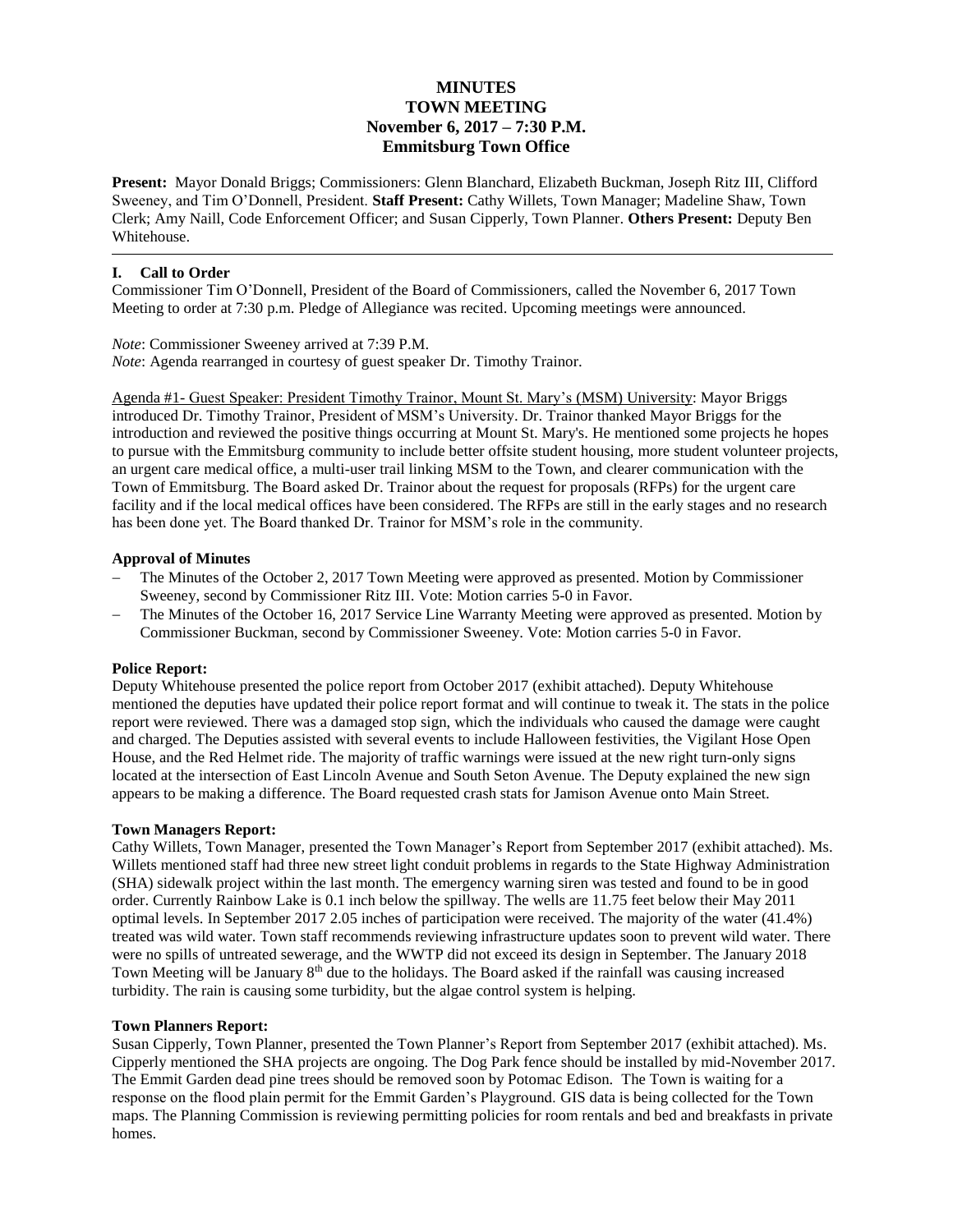# **MINUTES TOWN MEETING November 6, 2017 – 7:30 P.M. Emmitsburg Town Office**

**Present:** Mayor Donald Briggs; Commissioners: Glenn Blanchard, Elizabeth Buckman, Joseph Ritz III, Clifford Sweeney, and Tim O'Donnell, President. **Staff Present:** Cathy Willets, Town Manager; Madeline Shaw, Town Clerk; Amy Naill, Code Enforcement Officer; and Susan Cipperly, Town Planner. **Others Present:** Deputy Ben Whitehouse.

# **I. Call to Order**

Commissioner Tim O'Donnell, President of the Board of Commissioners, called the November 6, 2017 Town Meeting to order at 7:30 p.m. Pledge of Allegiance was recited. Upcoming meetings were announced.

*Note*: Commissioner Sweeney arrived at 7:39 P.M. *Note*: Agenda rearranged in courtesy of guest speaker Dr. Timothy Trainor.

Agenda #1- Guest Speaker: President Timothy Trainor, Mount St. Mary's (MSM) University: Mayor Briggs introduced Dr. Timothy Trainor, President of MSM's University. Dr. Trainor thanked Mayor Briggs for the introduction and reviewed the positive things occurring at Mount St. Mary's. He mentioned some projects he hopes to pursue with the Emmitsburg community to include better offsite student housing, more student volunteer projects, an urgent care medical office, a multi-user trail linking MSM to the Town, and clearer communication with the Town of Emmitsburg. The Board asked Dr. Trainor about the request for proposals (RFPs) for the urgent care facility and if the local medical offices have been considered. The RFPs are still in the early stages and no research has been done yet. The Board thanked Dr. Trainor for MSM's role in the community.

## **Approval of Minutes**

- The Minutes of the October 2, 2017 Town Meeting were approved as presented. Motion by Commissioner Sweeney, second by Commissioner Ritz III. Vote: Motion carries 5-0 in Favor.
- The Minutes of the October 16, 2017 Service Line Warranty Meeting were approved as presented. Motion by Commissioner Buckman, second by Commissioner Sweeney. Vote: Motion carries 5-0 in Favor.

#### **Police Report:**

Deputy Whitehouse presented the police report from October 2017 (exhibit attached). Deputy Whitehouse mentioned the deputies have updated their police report format and will continue to tweak it. The stats in the police report were reviewed. There was a damaged stop sign, which the individuals who caused the damage were caught and charged. The Deputies assisted with several events to include Halloween festivities, the Vigilant Hose Open House, and the Red Helmet ride. The majority of traffic warnings were issued at the new right turn-only signs located at the intersection of East Lincoln Avenue and South Seton Avenue. The Deputy explained the new sign appears to be making a difference. The Board requested crash stats for Jamison Avenue onto Main Street.

#### **Town Managers Report:**

Cathy Willets, Town Manager, presented the Town Manager's Report from September 2017 (exhibit attached). Ms. Willets mentioned staff had three new street light conduit problems in regards to the State Highway Administration (SHA) sidewalk project within the last month. The emergency warning siren was tested and found to be in good order. Currently Rainbow Lake is 0.1 inch below the spillway. The wells are 11.75 feet below their May 2011 optimal levels. In September 2017 2.05 inches of participation were received. The majority of the water (41.4%) treated was wild water. Town staff recommends reviewing infrastructure updates soon to prevent wild water. There were no spills of untreated sewerage, and the WWTP did not exceed its design in September. The January 2018 Town Meeting will be January  $8<sup>th</sup>$  due to the holidays. The Board asked if the rainfall was causing increased turbidity. The rain is causing some turbidity, but the algae control system is helping.

#### **Town Planners Report:**

Susan Cipperly, Town Planner, presented the Town Planner's Report from September 2017 (exhibit attached). Ms. Cipperly mentioned the SHA projects are ongoing. The Dog Park fence should be installed by mid-November 2017. The Emmit Garden dead pine trees should be removed soon by Potomac Edison. The Town is waiting for a response on the flood plain permit for the Emmit Garden's Playground. GIS data is being collected for the Town maps. The Planning Commission is reviewing permitting policies for room rentals and bed and breakfasts in private homes.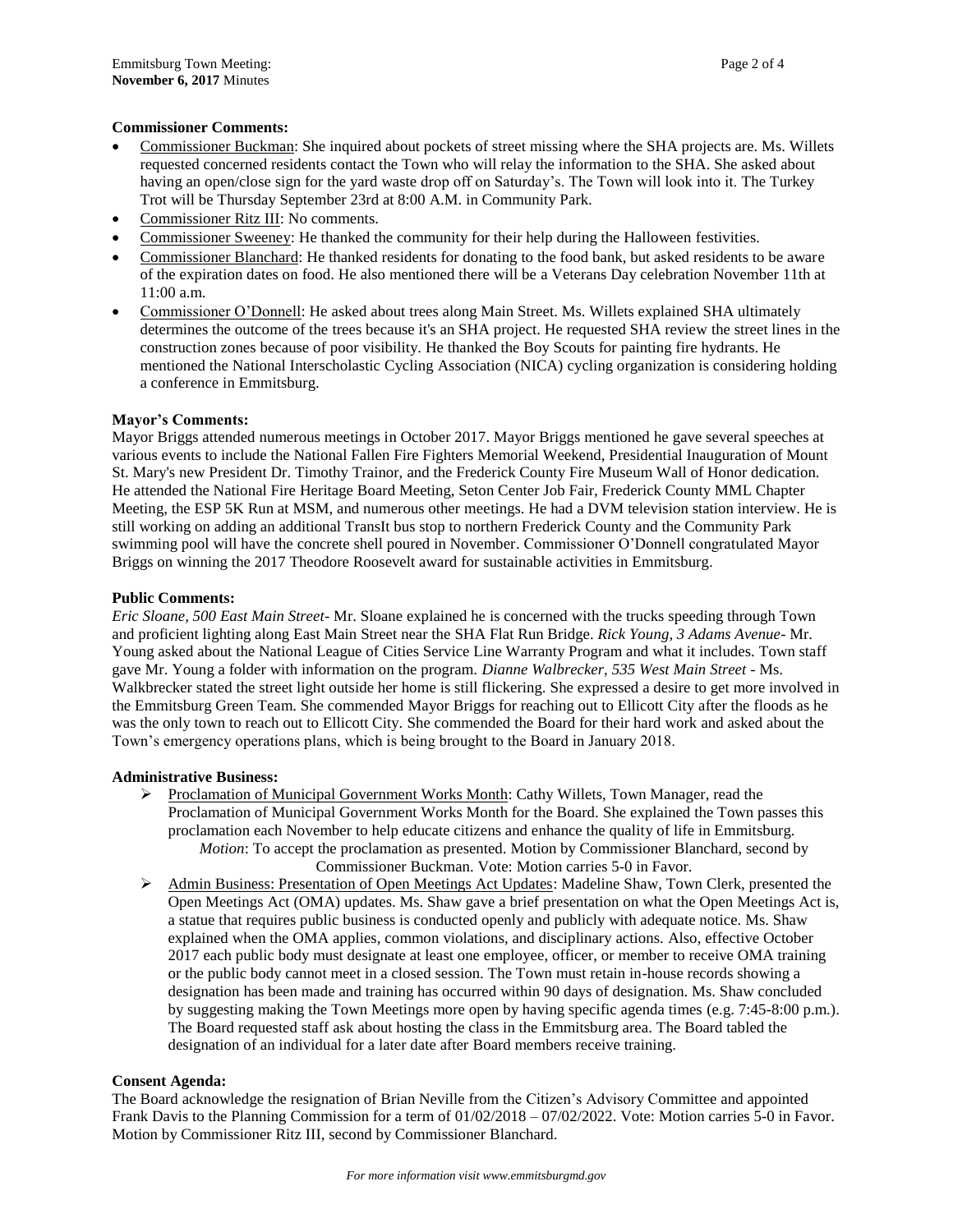## **Commissioner Comments:**

- Commissioner Buckman: She inquired about pockets of street missing where the SHA projects are. Ms. Willets requested concerned residents contact the Town who will relay the information to the SHA. She asked about having an open/close sign for the yard waste drop off on Saturday's. The Town will look into it. The Turkey Trot will be Thursday September 23rd at 8:00 A.M. in Community Park.
- Commissioner Ritz III: No comments.
- Commissioner Sweeney: He thanked the community for their help during the Halloween festivities.
- Commissioner Blanchard: He thanked residents for donating to the food bank, but asked residents to be aware of the expiration dates on food. He also mentioned there will be a Veterans Day celebration November 11th at 11:00 a.m.
- Commissioner O'Donnell: He asked about trees along Main Street. Ms. Willets explained SHA ultimately determines the outcome of the trees because it's an SHA project. He requested SHA review the street lines in the construction zones because of poor visibility. He thanked the Boy Scouts for painting fire hydrants. He mentioned the National Interscholastic Cycling Association (NICA) cycling organization is considering holding a conference in Emmitsburg.

## **Mayor's Comments:**

Mayor Briggs attended numerous meetings in October 2017. Mayor Briggs mentioned he gave several speeches at various events to include the National Fallen Fire Fighters Memorial Weekend, Presidential Inauguration of Mount St. Mary's new President Dr. Timothy Trainor, and the Frederick County Fire Museum Wall of Honor dedication. He attended the National Fire Heritage Board Meeting, Seton Center Job Fair, Frederick County MML Chapter Meeting, the ESP 5K Run at MSM, and numerous other meetings. He had a DVM television station interview. He is still working on adding an additional TransIt bus stop to northern Frederick County and the Community Park swimming pool will have the concrete shell poured in November. Commissioner O'Donnell congratulated Mayor Briggs on winning the 2017 Theodore Roosevelt award for sustainable activities in Emmitsburg.

#### **Public Comments:**

*Eric Sloane, 500 East Main Street-* Mr. Sloane explained he is concerned with the trucks speeding through Town and proficient lighting along East Main Street near the SHA Flat Run Bridge. *Rick Young, 3 Adams Avenue*- Mr. Young asked about the National League of Cities Service Line Warranty Program and what it includes. Town staff gave Mr. Young a folder with information on the program. *Dianne Walbrecker, 535 West Main Street* - Ms. Walkbrecker stated the street light outside her home is still flickering. She expressed a desire to get more involved in the Emmitsburg Green Team. She commended Mayor Briggs for reaching out to Ellicott City after the floods as he was the only town to reach out to Ellicott City. She commended the Board for their hard work and asked about the Town's emergency operations plans, which is being brought to the Board in January 2018.

#### **Administrative Business:**

- Proclamation of Municipal Government Works Month: Cathy Willets, Town Manager, read the Proclamation of Municipal Government Works Month for the Board. She explained the Town passes this proclamation each November to help educate citizens and enhance the quality of life in Emmitsburg. *Motion*: To accept the proclamation as presented. Motion by Commissioner Blanchard, second by Commissioner Buckman. Vote: Motion carries 5-0 in Favor.
- Admin Business: Presentation of Open Meetings Act Updates: Madeline Shaw, Town Clerk, presented the Open Meetings Act (OMA) updates. Ms. Shaw gave a brief presentation on what the Open Meetings Act is, a statue that requires public business is conducted openly and publicly with adequate notice. Ms. Shaw explained when the OMA applies, common violations, and disciplinary actions. Also, effective October 2017 each public body must designate at least one employee, officer, or member to receive OMA training or the public body cannot meet in a closed session. The Town must retain in-house records showing a designation has been made and training has occurred within 90 days of designation. Ms. Shaw concluded by suggesting making the Town Meetings more open by having specific agenda times (e.g. 7:45-8:00 p.m.). The Board requested staff ask about hosting the class in the Emmitsburg area. The Board tabled the designation of an individual for a later date after Board members receive training.

#### **Consent Agenda:**

The Board acknowledge the resignation of Brian Neville from the Citizen's Advisory Committee and appointed Frank Davis to the Planning Commission for a term of 01/02/2018 – 07/02/2022. Vote: Motion carries 5-0 in Favor. Motion by Commissioner Ritz III, second by Commissioner Blanchard.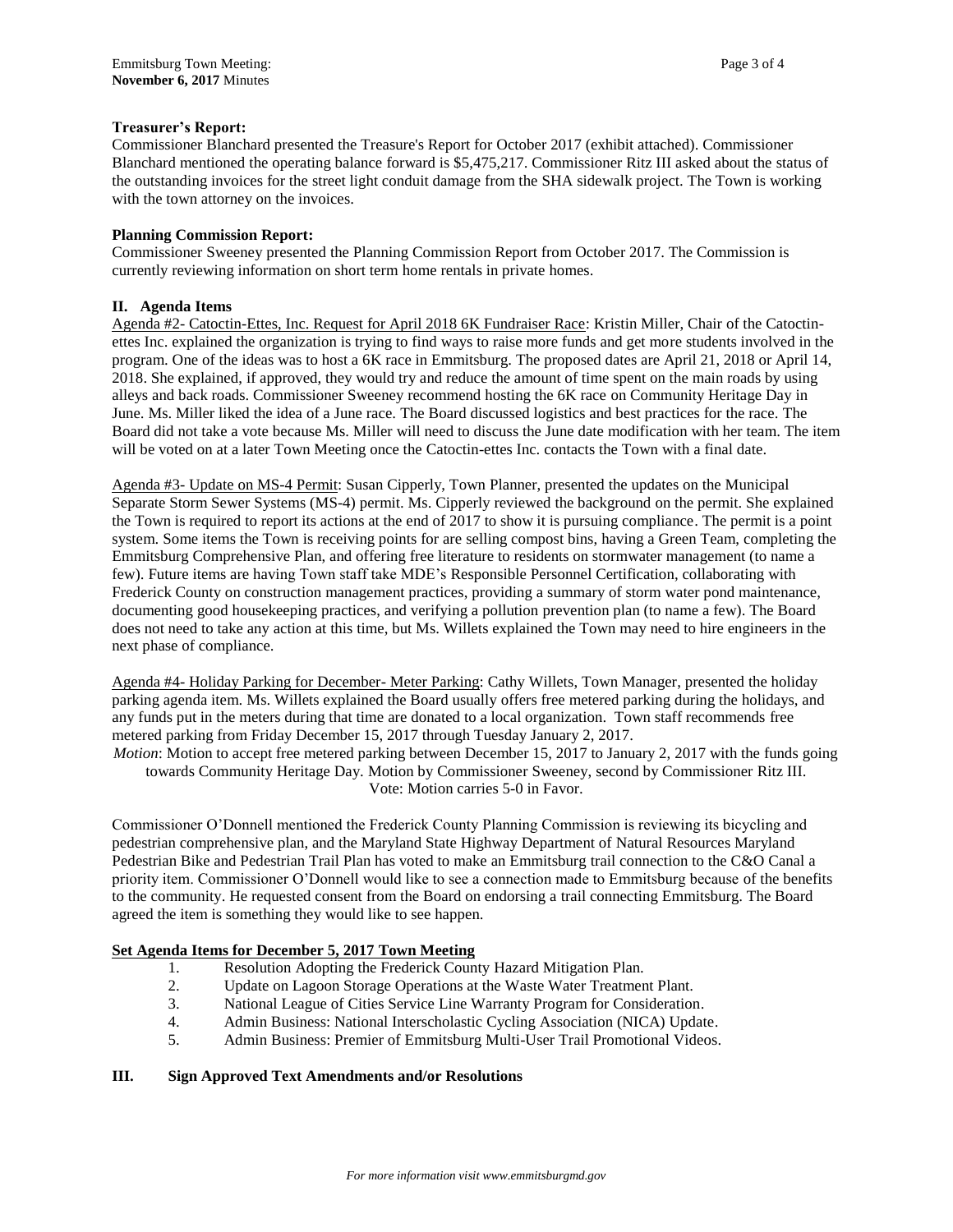## **Treasurer's Report:**

Commissioner Blanchard presented the Treasure's Report for October 2017 (exhibit attached). Commissioner Blanchard mentioned the operating balance forward is \$5,475,217. Commissioner Ritz III asked about the status of the outstanding invoices for the street light conduit damage from the SHA sidewalk project. The Town is working with the town attorney on the invoices.

#### **Planning Commission Report:**

Commissioner Sweeney presented the Planning Commission Report from October 2017. The Commission is currently reviewing information on short term home rentals in private homes.

## **II. Agenda Items**

Agenda #2- Catoctin-Ettes, Inc. Request for April 2018 6K Fundraiser Race: Kristin Miller, Chair of the Catoctinettes Inc. explained the organization is trying to find ways to raise more funds and get more students involved in the program. One of the ideas was to host a 6K race in Emmitsburg. The proposed dates are April 21, 2018 or April 14, 2018. She explained, if approved, they would try and reduce the amount of time spent on the main roads by using alleys and back roads. Commissioner Sweeney recommend hosting the 6K race on Community Heritage Day in June. Ms. Miller liked the idea of a June race. The Board discussed logistics and best practices for the race. The Board did not take a vote because Ms. Miller will need to discuss the June date modification with her team. The item will be voted on at a later Town Meeting once the Catoctin-ettes Inc. contacts the Town with a final date.

Agenda #3- Update on MS-4 Permit: Susan Cipperly, Town Planner, presented the updates on the Municipal Separate Storm Sewer Systems (MS-4) permit. Ms. Cipperly reviewed the background on the permit. She explained the Town is required to report its actions at the end of 2017 to show it is pursuing compliance. The permit is a point system. Some items the Town is receiving points for are selling compost bins, having a Green Team, completing the Emmitsburg Comprehensive Plan, and offering free literature to residents on stormwater management (to name a few). Future items are having Town staff take MDE's Responsible Personnel Certification, collaborating with Frederick County on construction management practices, providing a summary of storm water pond maintenance, documenting good housekeeping practices, and verifying a pollution prevention plan (to name a few). The Board does not need to take any action at this time, but Ms. Willets explained the Town may need to hire engineers in the next phase of compliance.

Agenda #4- Holiday Parking for December- Meter Parking: Cathy Willets, Town Manager, presented the holiday parking agenda item. Ms. Willets explained the Board usually offers free metered parking during the holidays, and any funds put in the meters during that time are donated to a local organization. Town staff recommends free metered parking from Friday December 15, 2017 through Tuesday January 2, 2017.

*Motion*: Motion to accept free metered parking between December 15, 2017 to January 2, 2017 with the funds going towards Community Heritage Day. Motion by Commissioner Sweeney, second by Commissioner Ritz III. Vote: Motion carries 5-0 in Favor.

Commissioner O'Donnell mentioned the Frederick County Planning Commission is reviewing its bicycling and pedestrian comprehensive plan, and the Maryland State Highway Department of Natural Resources Maryland Pedestrian Bike and Pedestrian Trail Plan has voted to make an Emmitsburg trail connection to the C&O Canal a priority item. Commissioner O'Donnell would like to see a connection made to Emmitsburg because of the benefits to the community. He requested consent from the Board on endorsing a trail connecting Emmitsburg. The Board agreed the item is something they would like to see happen.

# **Set Agenda Items for December 5, 2017 Town Meeting**

- 1. Resolution Adopting the Frederick County Hazard Mitigation Plan.
- 2. Update on Lagoon Storage Operations at the Waste Water Treatment Plant.
- 3. National League of Cities Service Line Warranty Program for Consideration.
- 4. Admin Business: National Interscholastic Cycling Association (NICA) Update.
- 5. Admin Business: Premier of Emmitsburg Multi-User Trail Promotional Videos.

#### **III. Sign Approved Text Amendments and/or Resolutions**